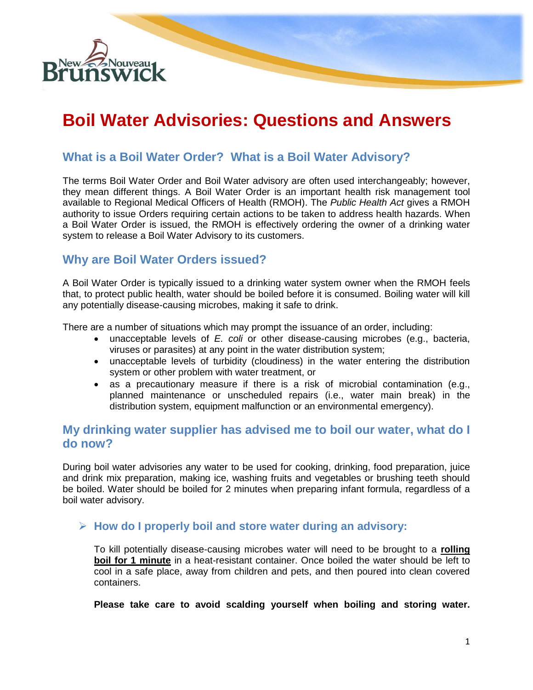

# **Boil Water Advisories: Questions and Answers**

# **What is a Boil Water Order? What is a Boil Water Advisory?**

The terms Boil Water Order and Boil Water advisory are often used interchangeably; however, they mean different things. A Boil Water Order is an important health risk management tool available to Regional Medical Officers of Health (RMOH). The *Public Health Act* gives a RMOH authority to issue Orders requiring certain actions to be taken to address health hazards. When a Boil Water Order is issued, the RMOH is effectively ordering the owner of a drinking water system to release a Boil Water Advisory to its customers.

### **Why are Boil Water Orders issued?**

A Boil Water Order is typically issued to a drinking water system owner when the RMOH feels that, to protect public health, water should be boiled before it is consumed. Boiling water will kill any potentially disease-causing microbes, making it safe to drink.

There are a number of situations which may prompt the issuance of an order, including:

- unacceptable levels of *E. coli* or other disease-causing microbes (e.g., bacteria, viruses or parasites) at any point in the water distribution system;
- unacceptable levels of turbidity (cloudiness) in the water entering the distribution system or other problem with water treatment, or
- as a precautionary measure if there is a risk of microbial contamination (e.g., planned maintenance or unscheduled repairs (i.e., water main break) in the distribution system, equipment malfunction or an environmental emergency).

## **My drinking water supplier has advised me to boil our water, what do I do now?**

During boil water advisories any water to be used for cooking, drinking, food preparation, juice and drink mix preparation, making ice, washing fruits and vegetables or brushing teeth should be boiled. Water should be boiled for 2 minutes when preparing infant formula, regardless of a boil water advisory.

#### **How do I properly boil and store water during an advisory:**

To kill potentially disease-causing microbes water will need to be brought to a **rolling boil for 1 minute** in a heat-resistant container. Once boiled the water should be left to cool in a safe place, away from children and pets, and then poured into clean covered containers.

**Please take care to avoid scalding yourself when boiling and storing water.**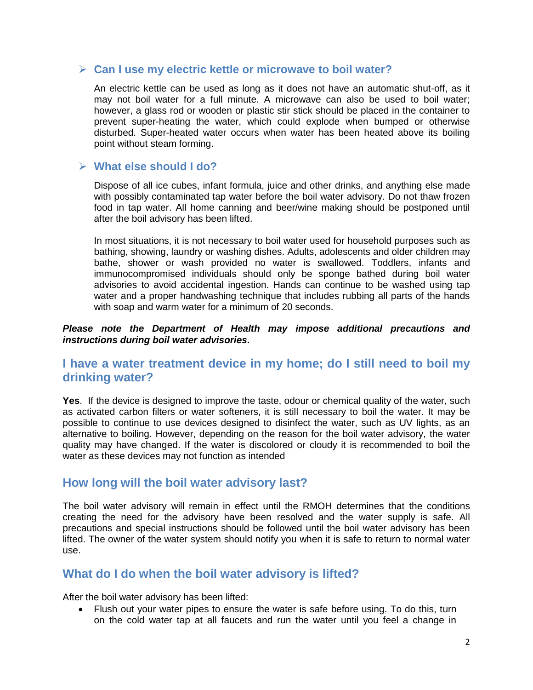#### **Can I use my electric kettle or microwave to boil water?**

An electric kettle can be used as long as it does not have an automatic shut-off, as it may not boil water for a full minute. A microwave can also be used to boil water; however, a glass rod or wooden or plastic stir stick should be placed in the container to prevent super-heating the water, which could explode when bumped or otherwise disturbed. Super-heated water occurs when water has been heated above its boiling point without steam forming.

#### **What else should I do?**

Dispose of all ice cubes, infant formula, juice and other drinks, and anything else made with possibly contaminated tap water before the boil water advisory. Do not thaw frozen food in tap water. All home canning and beer/wine making should be postponed until after the boil advisory has been lifted.

In most situations, it is not necessary to boil water used for household purposes such as bathing, showing, laundry or washing dishes. Adults, adolescents and older children may bathe, shower or wash provided no water is swallowed. Toddlers, infants and immunocompromised individuals should only be sponge bathed during boil water advisories to avoid accidental ingestion. Hands can continue to be washed using tap water and a proper handwashing technique that includes rubbing all parts of the hands with soap and warm water for a minimum of 20 seconds.

#### *Please note the Department of Health may impose additional precautions and instructions during boil water advisories.*

# **I have a water treatment device in my home; do I still need to boil my drinking water?**

**Yes**. If the device is designed to improve the taste, odour or chemical quality of the water, such as activated carbon filters or water softeners, it is still necessary to boil the water. It may be possible to continue to use devices designed to disinfect the water, such as UV lights, as an alternative to boiling. However, depending on the reason for the boil water advisory, the water quality may have changed. If the water is discolored or cloudy it is recommended to boil the water as these devices may not function as intended

### **How long will the boil water advisory last?**

The boil water advisory will remain in effect until the RMOH determines that the conditions creating the need for the advisory have been resolved and the water supply is safe. All precautions and special instructions should be followed until the boil water advisory has been lifted. The owner of the water system should notify you when it is safe to return to normal water use.

### **What do I do when the boil water advisory is lifted?**

After the boil water advisory has been lifted:

 Flush out your water pipes to ensure the water is safe before using. To do this, turn on the cold water tap at all faucets and run the water until you feel a change in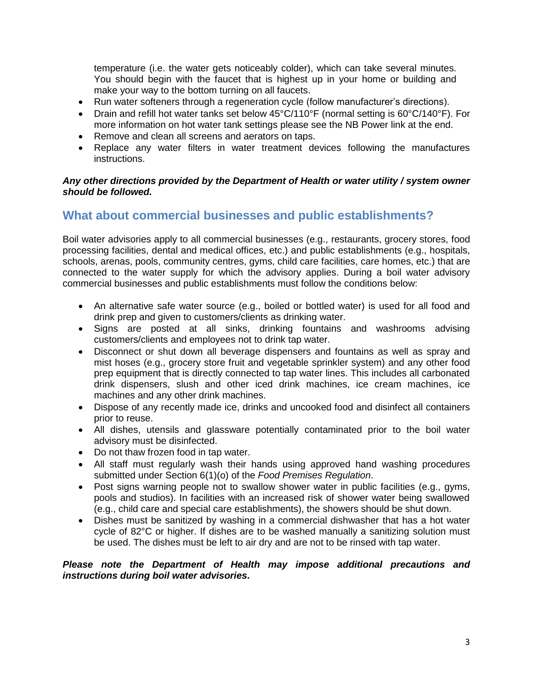temperature (i.e. the water gets noticeably colder), which can take several minutes. You should begin with the faucet that is highest up in your home or building and make your way to the bottom turning on all faucets.

- Run water softeners through a regeneration cycle (follow manufacturer's directions).
- Drain and refill hot water tanks set below 45°C/110°F (normal setting is 60°C/140°F). For more information on hot water tank settings please see the NB Power link at the end.
- Remove and clean all screens and aerators on taps.
- Replace any water filters in water treatment devices following the manufactures instructions.

#### *Any other directions provided by the Department of Health or water utility / system owner should be followed.*

## **What about commercial businesses and public establishments?**

Boil water advisories apply to all commercial businesses (e.g., restaurants, grocery stores, food processing facilities, dental and medical offices, etc.) and public establishments (e.g., hospitals, schools, arenas, pools, community centres, gyms, child care facilities, care homes, etc.) that are connected to the water supply for which the advisory applies. During a boil water advisory commercial businesses and public establishments must follow the conditions below:

- An alternative safe water source (e.g., boiled or bottled water) is used for all food and drink prep and given to customers/clients as drinking water.
- Signs are posted at all sinks, drinking fountains and washrooms advising customers/clients and employees not to drink tap water.
- Disconnect or shut down all beverage dispensers and fountains as well as spray and mist hoses (e.g., grocery store fruit and vegetable sprinkler system) and any other food prep equipment that is directly connected to tap water lines. This includes all carbonated drink dispensers, slush and other iced drink machines, ice cream machines, ice machines and any other drink machines.
- Dispose of any recently made ice, drinks and uncooked food and disinfect all containers prior to reuse.
- All dishes, utensils and glassware potentially contaminated prior to the boil water advisory must be disinfected.
- Do not thaw frozen food in tap water.
- All staff must regularly wash their hands using approved hand washing procedures submitted under Section 6(1)(o) of the *Food Premises Regulation*.
- Post signs warning people not to swallow shower water in public facilities (e.g., gyms, pools and studios). In facilities with an increased risk of shower water being swallowed (e.g., child care and special care establishments), the showers should be shut down.
- Dishes must be sanitized by washing in a commercial dishwasher that has a hot water cycle of 82°C or higher. If dishes are to be washed manually a sanitizing solution must be used. The dishes must be left to air dry and are not to be rinsed with tap water.

#### *Please note the Department of Health may impose additional precautions and instructions during boil water advisories.*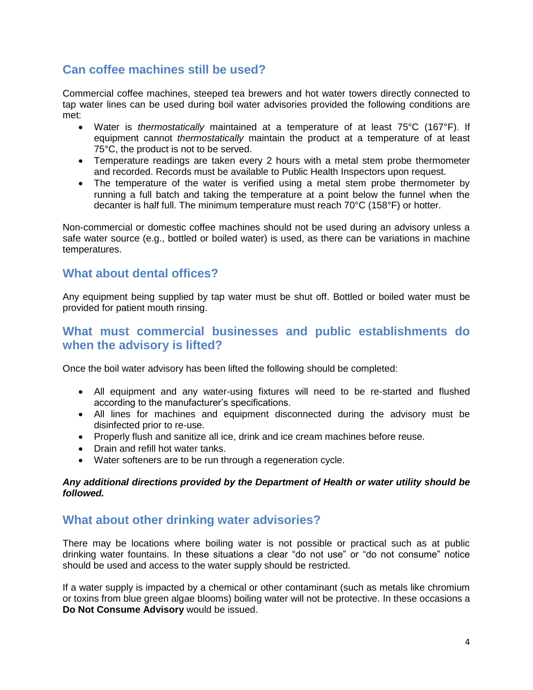# **Can coffee machines still be used?**

Commercial coffee machines, steeped tea brewers and hot water towers directly connected to tap water lines can be used during boil water advisories provided the following conditions are met:

- Water is *thermostatically* maintained at a temperature of at least 75°C (167°F). If equipment cannot *thermostatically* maintain the product at a temperature of at least 75°C, the product is not to be served.
- Temperature readings are taken every 2 hours with a metal stem probe thermometer and recorded. Records must be available to Public Health Inspectors upon request.
- The temperature of the water is verified using a metal stem probe thermometer by running a full batch and taking the temperature at a point below the funnel when the decanter is half full. The minimum temperature must reach 70°C (158°F) or hotter.

Non-commercial or domestic coffee machines should not be used during an advisory unless a safe water source (e.g., bottled or boiled water) is used, as there can be variations in machine temperatures.

# **What about dental offices?**

Any equipment being supplied by tap water must be shut off. Bottled or boiled water must be provided for patient mouth rinsing.

## **What must commercial businesses and public establishments do when the advisory is lifted?**

Once the boil water advisory has been lifted the following should be completed:

- All equipment and any water-using fixtures will need to be re-started and flushed according to the manufacturer's specifications.
- All lines for machines and equipment disconnected during the advisory must be disinfected prior to re-use.
- Properly flush and sanitize all ice, drink and ice cream machines before reuse.
- Drain and refill hot water tanks.
- Water softeners are to be run through a regeneration cycle.

#### *Any additional directions provided by the Department of Health or water utility should be followed.*

### **What about other drinking water advisories?**

There may be locations where boiling water is not possible or practical such as at public drinking water fountains. In these situations a clear "do not use" or "do not consume" notice should be used and access to the water supply should be restricted.

If a water supply is impacted by a chemical or other contaminant (such as metals like chromium or toxins from blue green algae blooms) boiling water will not be protective. In these occasions a **Do Not Consume Advisory** would be issued.